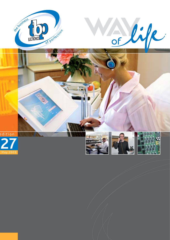









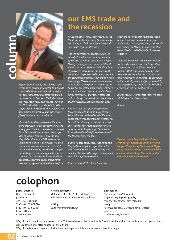# **column**



*Before I started writing this column, I have reread some newspaper articles. Last August I read in the Financieel Dagblad: recession will pass without redundancies. Next: mild redundancies. In February 2009: the cabinet has to take some drastic measures to prevent*  **The Netherlands from finding itself in the** *deepest recession since 1931. In Belgium the government has great trouble with endless fi les of banks and motor industries.* 

*Meanwhile the daily news is that there are more wrongs still in our economy: banks are having great troubles, various and enormous fi nancial scandals and now we have to get used to the fact that this is only the beginning of the crisis. In our EMS trade we see that the whole chain is being affected: both our suppliers and our clients and the total sector are mentioning that there is a drop in the backlog of orders. Many families are discovering the crisis already: by uncertainties about jobs, about the bank's creditworthiness, about payments by installments of the* 

### **our EMS trade and the recession**

*house and other loans, about money lost at the stock market. On a daily basis the media are dishing up bleak news items. The good news gets very little attention.* 

*And yet, our trade has gone through a lot already. Globalization: the disappearance of work to the Far East and Eastern Europe. Having our daily worries, we would almost forget that since 1990 over 70% of our industry has been moved from the Benelux. The remaining companies are the gems; they are the companies that invested in knowhow and technology. This recession however, has an*  extra handicap: the financial support of the *banks. So, our sector organisations will have to stand up for us: demand attention from our government(s) and make it clear that giving priority to our own industries is (more than) necessary. Dare as the French dare.* 

*And let's keep our eyes wide open: look there are going to be some displacements. Worldwide work will be divided differently: continent after continent; work from the Far East will be returning; orders will turn into short term orders; more attention for cash and low stocks; long transport times will have to be reduced (eight weeks on board is too long 'sleeping capital').* 

*Clients want to talk to local suppliers again: they will be asking for cooperation in the development stage, co-engineering, direct and short lines with the project management and a full supply chain service.* 

*In his tbp visie n° 26 column Ton writes* 

*about the necessity of the ultimate coope*ration. This is now preferable in all fields: *authorities, trade organisations, business life and employees. Having an unprecedented determination to deal with the challenges together.*

*Let's polish our gems. In our factory in Geel we have the program tois (tbp's operating improvement system): improvements without effort. And they are having results! Now we have to our best - in consultation with our suppliers and clients – to cooperate enthusiastically without effort, purposefully and professionally. The recession, knocking at our door, will not be allowed in.*

*And as vitamin C for success: make it a beautiful day each and every time!* 

*Anton*

*Tbp electronics Belgium is shortlisted for the prize "enterprise 2009" by VOKA Kempen (Chamber of Commerce). Tbp is one of three laureates. The winner will be announced on 15 May. More information: www.voka.be/kempen/nieuws. .* 

# **colophon**

**postal address**  tbp electronics bv postbus 8 3247 ZG Dirksland T +31 (0)187 602744 F +31 (0)187 603497 E info@tbp.nl I www.tbp.eu

### **visiting addresses**

Vlakbodem 10 • 3247 CP Dirksland (NL) Bell Telephonelaan 3 • B-2440 Geel (B)

**editing** *Dana Wolters (info@tbp.nl)*  **photographs** 

*Arjo van der Graaff fotografi e* **Copywriting & photography** *redactie in techniek, Frans Witkamp* **design**  *Peter Walschots & Grafi sch Bedrijf Hontelé* **printer** *Grafi sch Bedrijf Hontelé*

Way of Life is an edition by tbp electronics. This newsletter is distributed to tbp's relations. Reproduction, duplication or copying of articles is allowed only after consent of the editors.

Way of Life is printed on non-chlorine bleached paper and it is environmental-friendly wrapped.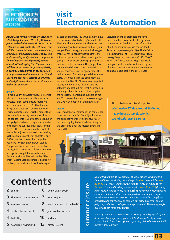

### **visit Electronics & Automation**

*At the trade fair Electronics & Automation (27-29 May, Jaarbeurs Utrecht) 125 companies will enlighten the visitors on the developments in the fi eld of electronics. You*  will find there a lot: electronics developers, *producers, production equipment, testing and measuring equipment and components (manufacturers and importers). It goes almost without saying that tbp electronics will be present with a large stand (8B019) in order to welcome you and to see you in an appropriate environment. In our Grand Café our people will listen to your wishes*  and will fill you in about the developments *within our company.* 

#### **gadget**

To make your visit worthwhile, electronics with which you can assemble yourself a wireless sensor temperature meter will be produced in the Live PIL (Production Integration Line: a sort of mini-factory). This temperature meter is the gadget that the fair visitor can lay hands upon if he or she applies for it. If you want to get hold of this gadget you have to register as a visitor of the fair and subsequently apply for the gadget. This can be done via tbp's website (www.tbp.eu). You want to do this quickly, as the available number of gadgets is only 2,000. In order to assemble the gadget you have to visit eight different stands. You gather there the printed circuit boards, casing, foil, battery and software that make up together a digital temperature meter. Extra attention will be paid to the ESDproof (Electro Static Discharge) packaging, so that your product will not be damaged

by static discharges. You will be able to have the firmware activated in tbp's Grand Café. Then you check whether the electronics are functioning well and you can calibrate your gadget. If you have gone through all stages, then you have a sensor that transmits the actual temperature wireless to a dongle in your pc. The software on the pc presents the measured value on screen. The gadget has been realized thanks to the cooperation of various sponsors. One company made the design, about 16 others supplied the various parts, 13 companies made equipment available for the Live PIL, 12 companies supplied testing and measuring facilities and the software and last but not least 7 companies – amongst them tbp electronics- supplied the necessary financial and supporting means. You can read more on the assembling of the Live PIL on page 6 of this newsletter.

#### **lectures**

Six seminars are organized in the conference rooms at the trade fair floor. Quality from the perspective of the visitor and/or user has been highlighted while determining on the programs. Both the message per seminar and the

lecturers and their presentations have been tuned in this respect with a group of companies involved. For more information about the seminars, please contact Paul Petersen (p.petersen@fhi.nl) or Linda Dekker (l.dekker@fhi.nl) of FHI, Federation of Technology Branches, telephone +31 (0) 33 465 75 07. Don't miss out on "High Tech Heels": here you meet a number of female tbp employees … because various women do play an unavoidable part in the EMS-trade!

Tip: note in your diary/organizer: **Wednesday 27 May around 16.00 hours happy hour at tbp electronics, Grand Café, stand 8B019!**



### **contents**

- 2 column
- Electronics & Automation 3
- summer closure 3
- le site offre encore plus 4
- Girls' Day 4
- 5 boxbuilding Dirksland
- Live PIL E&A 2009
- Jos Corstjens
	- electronics soon to be lead-free
	- your contact with tbp
- SurfTable 10

6

7

8

9

Alcatel Lucent 12

summer closure **summer closure** *During this summer the companies at the locations Dirksland and Geel will be closed during the holidays. For Geel these will be weeks 29 and 30 (Monday 13 up to and including Friday 24 July) and for Dirksland these will be this year two weeks: week 32 and 33 (Monday 3 up to and including Friday 14 August). To have your own production continued unhindered, it is necessary to have our supplies to you tuned with our contact person in time. Give us your forecast(s) and order(s) well beforehand, and then we can make sure that you will get your products according to your appointment. The same goes for quotations: ask fort hem on time!* 

*You may contact Mrs. Annemieke ten Broek (atbroek@tbp.nl) of our department order processing for Dirksland and for Geel you may contact Mr. Ir. Frans Geerts (fgeerts@tbp.eu) of the department EMS business development.*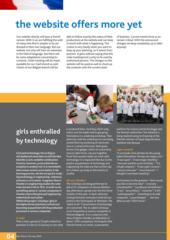# **the website offers more yet**

Our website shortly will have a French version. With it we are fulfilling the wish of many who find it simpler to be addressed in their own language. But our website not only will have an extension in the field of language, but there will be some adaptations concerning its contents. Order tracking will be made available for our Geel branch as well. Clients of our Belgian branch will be

able to follow exactly the status of their productions at the website and can keep in touch with what is happening. This comes in very handy when you want to keep up your planning, so it seems from practice. It goes without saying that this order tracking tool is only to be used by authorised persons. The changes on the website will be used as well to check up the contents with the current state

of business. Current events force us to remain critical. With the announced changes we keep completely up to date anyway!



### **girls enthralled by technology**

*Girls and technology? According to old-fashioned views there is still the idea that this is not a suitable combination. Practice, however, proves that this assumption is undeserved. It is remarkable that women tend to score better in the learning process, but do not opt for studying technology or engineering. Unknown, unloved, or so it seems. It appears that in Flanders in engineering studies the ratio male-female is 84 to 16%. In order to do something about it, various companies in Flanders show that girls and engineering*  indeed do fit each other! *Within the project 'GirlsDays' girls in the higher forms of primary schools are becoming acquainted with the production* 

**to Geel** 

That is why a group of 25 girls visited our premises in Geel on 21 January to see what

*processes in various companies.* 

is produced there. And they didn't only watch, but the ladies had to get going themselves in a soldering workshop. Their dexterity with the soldering iron was being tested there by producing an electronic dice or a wheel of fortune. With great fervour this gadget, which of course they were to take home, was put together. Proof that women really can work with technology! It is expected that due to this playful acquaintance of technology and engineering the odds are that women opt for a follow-up study in this branch of studies.

### **All over Flanders**

The GirlsDays are being performed at about 25 companies on various Wednesday afternoons, spread over the first three months of this year. In April collective closing festivities took place (with the parents) in the Technopolis at Mechelen: the "place to be" if promotions of technology are concerned. The so-called GirlsDays occur frequently at various companies in Flemish Belgium. It is a collective initiative of Agoria Flanders (a federation of about 1,500 companies), Technopolis (the Flemish hands-on centre, a permanent



platform for science and technology) and the Flemish authorities. The initiative is being realized owing to financing of the Flemish minister of Equal Opportunities Kathleen Van Brempt.

### **super coooool**

To conclude a few phrases by the young ladies themselves: *the day was mega-cool", "it was super", "it was mega-smashing", "next year another such a GirlsDay", "It is a huge company", "It was super coooool", "see you next year", "much learned", "I thought it was dead-smashing"*.

And answers to the question "what would you like to become later": *"a nursery schoolteacher", "a professor of medicines", "a vet", "an architect", "a teacher","a PA", "a photographer", "something to do with computers, "a psychologist" … but very often as well "I don't know"*.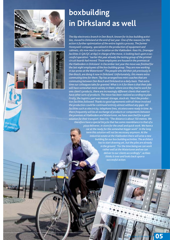



he busing Perfecto

## **boxbuilding in Dirksland as well**

*The tbp electronics branch in Den Bosch, known for its box building activities, moved to Dirksland at the end of last year. One of the reasons for this action is further optimization of the entire logistics process. The former Honeywell-company, specialized in the production of equipment and cabinets, sits now next to our location on the Vlakbodem. Kees Vis, (manager facilities & QA/QC at tbp) in charge of the move, is looking back upon a successful operation: "earlier this year already the testing group of the printed circuit boards had moved. Those employees are housed in the premises at*  the Vlakbodem in Dirksland. In December last year the move was finished for *the last eight employees of the box building group. They are now working in our annex at the Watertoren". The people who did their job previously in Den Bosch, are doing it now in Dirksland. Unfortunately, this means extra commuting time for them. Tbp has arranged two mini-coaches that are commuting between Den Bosch and Dirksland on a daily basis. That extra time our colleagues take for granted. What is in it for them is that their jobs will have somewhat more variety in them: where once they had to work for one client's products, there are increasingly different clients that want to have other sorts of products. The move has been realized according to plan. Firstly, the logistics part was moved: storage, stock etc. Next the production facilities followed. Thanks to good agreements with all those involved the production could be continued entirely almost without any gaps. All facilities such as electricity, telephone lines, etcetera were ready in time. As there frequently will be an exchange of products or components between the premises at Vlakbodem and Watertoren, we have searched for a good solution for their transport. Kees Vis: "The distance is about 150 metres. We therefore have a special bicycle that has some resemblance to that of a pizza deliverer, in store for the small and quick work. We have a car at the ready for the somewhat bigger work". In the long term this solution will not be necessary anymore. At the industrial estate at the Vlakbodem there will arise a new building for our box building activities. The architect has to start drawing yet, but the piles are already in the ground. "For the time being we can work rather well at the Watertoren and we can deliver to our clients accordingly", as Kees thinks it over and looks back upon a successful action.*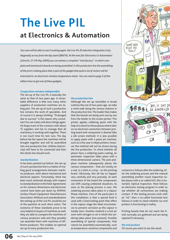# **The Live PIL at Electronics & Automation**

*You soon will be able to see it working again: the Live PIL (Production Integration Line), diagonally across from the tbp stand (8B019). At the next fair Electronics & Automation (Utrecht, 27-29 May 2009) you can witness a complete "mini factory", in which complete and tested print boards are being assembled. In this production line the assembling of the print is taking place that is part of the gadget that quite a lot of visitors will be interested in: an electronic wireless temperature meter. You can read on page 3 of this edition how to get one of these gadgets.*

### **Cooperation remains indispensible**

The set-up of the Live PIL is basically the same as that of two years ago. A remarkable difference is that now many other suppliers of production machines are taking part. The set-up of such a production line remains the work of specialists. And of course it is always thrilling. "Prolonged due to success" is the reason why consultant Ton van Galen will direct things again. He keeps track of the contacts with about 15 suppliers and has to manage that all machinery is working well together. There is not much time for test runs. The day before the fair opens the machines will be brought together and will be assembled into one production line. Utilities (electricity) will have to be connected and then the whole line should work.

#### **standardization**

It has been pointed out before: the set-up of such a production line is a matter of making good arrangements between machine producers, both about mechanical and electrical aspects. Fortunately, there has been much achieved already with respect to standardization in this field. Agreements on for instance dimensions and electronic control have been put down by SMEMA: Surface Mount Equipment Manufacturers Association. Without such standardization the setting up of the Live PIL would be out of the question at such short notice. The existence of these standards prove to be very helpful to buyers of machines as well: they are able to compare the machines of various producers well and they possibly can assemble them with machines of different producers. This enables an optimal set up of every production line.

#### **the production line**

Although the set up resembles in broad outlines the one of two years ago, we take a mind walk along the various stations in the production line. The loader that makes that the boards are being sent one by one from the feeder to the screen printer. This printer applies soldering paste with the help of a stencil to those places where later on an electrical connection between printing board and component is desired (like a silk screen method). It is also possible to apply paste with a paste jet machine, such as is the case in inkjet printers, however this method will not be shown during the live production. To check whether all places have a soldering paste coating, an automatic inspection takes place with a three-dimensional camera. The pick-andplace machine subsequently places the various components – that are mostly on a reel, in a stick or a tray – on the printing board. Obviously, this all has to happen very carefully and very precisely. At each movement of the board the components can shift causing undesired situations. As soon as the placing process is over, the soldering process takes place in a Vapour Phase-machine. One of the particulars in this installation is that a special fluid is used with a fixed boiling point that offers in the vapour stage the ideal circumstances to prevent corrosion as this vapour is totally inert. Another method is a hot-air oven with nitrogen or air in which the soldering takes place (not present). Possible assembling of special components, that cannot be assembled automatically, such as temperature-sensitive components and



connectors, follows after the soldering. After the soldering process and the manual assembling another visual inspection takes places with a so-called AOI, this is Automatic Optical Inspection. Next follows an electronic testing program in order to see whether all connections are making contact. If this testing process ends with an "ok", then a so-called functional test follows in order to check whether our end product is functioning in reality.

Printing boards that do not reach the finish normally are gathered and are being repaired if necessary.

**the end product**

Of course you want to see the result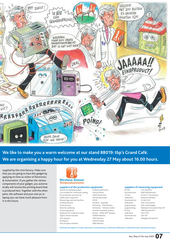

**We like to make you a warm welcome at our stand 8B019: tbp's Grand Café. We are organising a happy hour for you at Wednesday 27 May about 16.00 hours.** 

supplied by this mini factory. Make sure that you are going to have this gadget by applying on time as visitor of Electronics & Automation. If you gather the various components of your gadget, you automatically will receive the printing board that is produced here. Together with the other parts, the software and your own pc or laptop you can have much pleasure from it in the future.



Temperatuumneter

### **suppliers of the production equipment**<br>Stencils & clamping system Cookson electronics

Stencils & clamping system Cure module for conformal coating Dracon-Eltron<br>
Pre-production and test run HEAD Electronics Pre-production and test run HEAD Electronics<br>
Solder paste inspection Koh Young Europe Solder paste inspection Manual tape and reel machine **KVMS** Coating Machine Nordson - Asymtek Screen printer example and the partnertec - DEK Benelux<br>Selective soldering examples and the Partnertec - Vitronics Soli Selective soldering example of Partnertec – Vitronics Soltec<br>
Promass assembly systems<br>
Promass assembly systems Dispenser for conductive paste Vapour Phase-machine SMANS Benelux AOI-systeem T&M Systems Drying box Totech Europe<br>Pick and place machine W&S Benelux Pick and place machine

Promass assembly systems<br>Romex - DIMA SMT Systems

### **suppliers of measuring equipment**

functional test E.D.&A. NV functional test Test-OK

 $CN$  Rood B.V. functional test D&D Mechatronics<br>CE Test D.A.R.E.!! Consultar CE Test D.A.R.E.!! Consultancy<br>
calibration Dewetron Benelux Dewetron Benelux calibration GMC Instruments programming JTAG Technologies programming National Instruments Ned. BV<br>RF test T&M Systems B.V. RF test T&M Systems B.V.<br>
calibration Tech 5 B.V. Tech 5 B.V. calibration Yokogawa Europe B.V.

And financial support of: Azteco electronics, Contax Benelux, Drechtwerk Elektronica, Global Electronics and tbp electronics..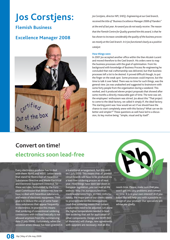# **Jos Corstjens:**

### **Flemish Business**

### **Excellence Manager 2008**



*Jos Corstjens, director NPI, SHEQ, Engineering at our Geel branch, received the title of "Business Excellence Manager 2008 of Flanders" at the end of last year. An award you do not easily receive. The reason that the Flemish Centre for Quality granted him this award, is that he has shown to increase considerably the quality of the business processes mostly at the Geel branch. In it Jos functioned clearly as a positive catalyst.*

### **How things were**

In 2001 Jos accepted another office within the then Alcatel-Lucent and moved therefore to the Geel branch. His orders were to map the business processes with the goal of optimisation. From his background with knowledge of Business Process Re-engineering he concluded that real craftsmanship was delivered, but that business processes left a lot to be desired. It proved difficult though, to put the finger on the weak spot. Some processes could improve, but the time to talk it over failed. There was no time for such things, was the general view. Jos was unabashed and suggested to brainstorm with some forty people from the organisation during a weekend. This worked, and it produced eleven project proposals that showed after some months a directly measurable gain of time. The tone was set; the employees' enthusiasm was stirred. Jos about this "That project to come to the ideal factory, we called it simply IF, the ideal factory. The starting point was: how would we act if we should have the chance to start completely anew with this factory? What can we do better and simpler?" These questions as well have led to a discussion, its key motive being: "simple, visual and by itself".

### **Convert on time! electronics soon lead-free**

Every electronics producer has to deal with them: RoHS and WEEE. Letter-words that stand for Restriction of Hazardous Substances Directive and Waste Electrical and Electronic Equipment Directive. So these are rules, formulated by the European Commission that determines how we have to deal with hazardous substances and waste of electronic equipment. Their goal is to reduce the use of some hazardous substances that appear frequently in electronics. In practice this means that soldering of conventional soldering connections with tin/lead basically is not allowed anymore from the commencing date (1 July 2006). Fortunately, when the occasion arises release has been granted in a transitional arrangement, but this ends on 1 July 2010. This means that all printed circuit boards will have to be produced via a lead-free soldering process as of next year. How things have been laid down in European legislation, you can read at the website: http://ec.europa.eu/environment/waste/weee/legis\_en.htm. Unfortunately, the major part of our clients seems to procrastinate on the consequences. Lead-free soldering means that current productions need to be adjusted. Let alone the higher temperatures needed in leadfree soldering that ask for application of other components. Design and BOM (Bill of Materials) will change, new agreements with suppliers are necessary. And all this



needs time. Please, make sure that you won't get into any problems and convert on time. It is in your own interest! And you know: tbp will help you with a possible redesign of your product. Our specialists will advise you gladly.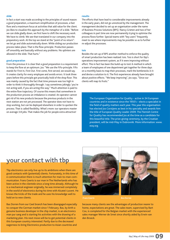#### **slide**

In fact a start was made according to the principles of sound reason: a good preparation, a maximum simplification of processes, a fast flow and a maximum focus at activities that add value for the client. Jos likes to visualize this approach by the metaphor of a slide. "Before we can slide gladly down, we first have to shift the necessary work. We have to climb. We see that translated in our company into the preparatory work. At the top we stand at the "point of no return": we let go and slide automatically down. While sliding our production process takes place. That is the flow-principle. Production passes off smoothly and basically without any problems. No splinters are allowed in the slide. That hurts."

#### **good preparation**

From the previous it is clear that a good preparation is a requirement to keep the flow at an optimum. Jos: "We use the FiFo-principle. FiFo stands for First In, First Out. First come, first served, we would say. It creates clarity for every employee and avoids errors. It took three years before this principle got practically hold of the shop floor. This was mainly caused by the fact that time pressure was too high in order to think it thoroughly through. I say sometimes jokingly 'you're not acting well, if you are acting this way." Much attention is paid to the entire flow trajectory. Of course this means that somewhere in the production process an imbalance is created. An operator cannot get rid of his new products because the previous products in the next station are not yet processed. The operator does not have to stop working, but can be deployed elsewhere in order to quicken the process. That is called flexibility. What's more: our operators master on average 3.8 jobs. That makes the job for people extra attractive!

### **results**

The efforts that have lead to considerable improvements already in the early years, did not go unnoticed by the management. The management decided to set up an organisation under the name of Business Process Solutions (BPS). Nancy Grieten and two of her colleagues in part time are now permanently trying to optimise the process flows further. Special teams with "key users" frequently meet to see where improvements may be possible so as to further re-adjust the processes.

#### **tois**

Besides the set-up of BPS another method to enforce the quality of smart production has been realized: tois. Tois is short for tbp's operations improvement system, as if it were improving without effort. This in fact has been the build-up to tois! A method in which a team of employees of one department get together for three days on a monthly basis to map their processes, mark the bottlenecks in it and devise a solution to it. The first experiences already have brought about positive effects. "We keep improving", Jos says, "Since our clients will reap its fruits."

> The European Organisation for Quality - active in 34 European countries and in existence since the 1950's – elects a specialist in the field of quality matters each year. This year this organisation has elected Jos Corstjens as best in his specialty and awards him the title of European Quality Leader 2009. The Flemish Centre for Quality has recommended Jos at the time as a candidate for this beautiful title. The prize-giving ceremony, by the Croatian president, will be mid-May in Dubrovnik. More information: www. eoq.org.

### **your contact with tbp**

Tbp electronics can only live up to its ambitions when there are good contacts with (potential) clients. Fortunately, in this time of e-communication there is much attention for man-to-man-communication. Frans Geerts is our man in The Netherlands who has been active in the clientele since a long time already. Although he is a mechanical engineer originally, he was immersed completely in the world of electronics during his time with Alcatel-Lucent. He knows the tricks of the trade and he uses his knowledge well to hold on to new clients.

Bas Dorren from our Geel branch has been disengaged especially to conquer the German market since 1 February. Bas, by birth a genuine business developer in the chip market, is an electronics man pur sang and is starting his activities with the drawing of a marketing plan. His next move will be to get potential clients in this European country interested. Partly due to the decreased eagerness to bring Electronics production to Asian countries and





because many clients see the advantages of production nearer to home, expectations are great. The sales team, supervised by Bart Cox, is completed for the Belgian market with the experienced sales manager Werner de Smet since shortly aided by Erwin van den Broeck.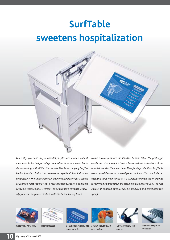# **SurfTable sweetens hospitalization**



*Generally, you don't stay in hospital for pleasure. Many a patient must keep to his bed forced by circumstances. Isolation and boredom are luring, with all that that entails. The Swiss company SurfTable has found a solution that can sweeten a patient's hospitalization considerably. They have worked in their own laboratory for a couple or years on what you may call a revolutionary product: a bed table with an integrated pc/TV screen – one could say a terminal- especi*ally for use in hospitals. This bed table can be seamlessly fitted

*to the current furniture the standard bedside table. The prototype meets the criteria required and it has raised the enthusiasm of the hospital world in the mean time. Time for its production! SurfTable has assigned the production to tbp electronics and has concluded an exclusive three-year contract. It is a special communication product*  for our medical trade from the assembling facilities in Geel. The first *couple of hundred samples will be produced and distributed this spring..*





Watching TV and films Internet access Selecting and listening to *spoken words* 

*Scratch-resistant and easy to clean*



*Connection for head-*

*phones*



*Direct access to patient information*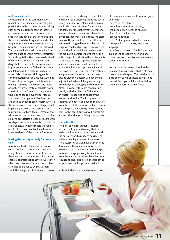### **multimedia in bed**

Developments in the communication market have pushed up considerably the possibilities in the last few decades. Things such as mobile telephones, the Internet and e-mail have all become common property. It is peculiar that in health care these things did not expand, in particular for patients. Even more peculiar: in many hospitals mobile phones are not allowed. The patients' individual communication with the outside world remains restricted. So far (hospital) patients remain deprived of communication with their surroundings, but the SurfTable is a considerable improvement in it. SurfTable is the name of a (standard) bed table with a built-in screen. Via this screen all imaginable communication will be possible: watching TV and films, surfing on the Internet, emailing, listening to and selecting music or spoken words, etcetera. All data flows are within a hand's reach of the patient who is confined to his/her bed. Medical staff can consult patient files, illustrations and the like or add specific information via the same screen – by means of a personal login and pass word. You can call it certainly a piece of high-tech electronics that will sweeten the patient's and doctor's life alike. As accessories a loose keyboard with touch pad and a remote control for TV use are available. SurfTable meets the requirements of all those involved and forms one integrated part of the hospital furniture.

### **Making the prototype ready for production**

A lot is involved in the development of such a product. It is not only a question of integration of a pc with TV-facilities, but there are special requirements for the mechanical characteristics as well. A screen in a bed board seems an almost impossible task. The board has to be scratch-resistant, the image hast to be clear, it has to

be easily cleaned and easy to control. And we haven't said anything about the bacteriological aspect yet. Many partners were involved in the realisation, for instance the search for the right synthetic material and suppliers. All these efforts have led to a product that meets all criteria. The start exists of the production of a small series, before switching to larger numbers. In this stage we can build up experience with the production from which we can learn for the production of larger numbers. At this initial stage of production the prototype is scrutinized, both qua applied electronics and qua mechanical construction. Before a production line is set up, the engineers in Geel will have to set up the right methods and processes. If needed the mechanical and electronic design will have to be adjusted. All sides will be gone through: from design to packaging and distribution. Almost obviously they are cooperating closely with the client SurfTable that as originator is expected to conquer the market world-wide. The first products soon will be directly shipped to the buyers from tbp Geel. Distribution and after sales will take place via Aprolog (www.aprolog. com) in the near future as well. Aprolog is among other things tbp's logistics partner.

#### **characteristics**

The SurfTable infotainment-solution has been set up in such a way that the patient will be able to communicate with the outside world as easy as possible, so without needing a course of some sort. The accessories as well have been devised durably and the maintenance is kept to a minimum. The standard TVs in the hospital wards, hanging mostly from a bracket from the wall or the ceiling, have become redundant. The flexibility in the use of the hospital ward will improve as well with it.

In short SurfTable offers a treasure trove

of communication and information (infotainment):

- access to the Internet,
- complete e-mail-functionality,
- music selection from the hard disc,
- films from the hard disc.
- language options,

• over 200 programmed radio channels corresponding to country, region and language,

• a variety of games (suitable for intranet in a patient-to-patient network) and

• direct access to local or world news and patient information.

Connections remain restricted to the (standard) infrastructure that is already present in the hospital. The installation of extra connections or installations is not needed. Soon you will be in hospital for your own pleasure. Or won't you?